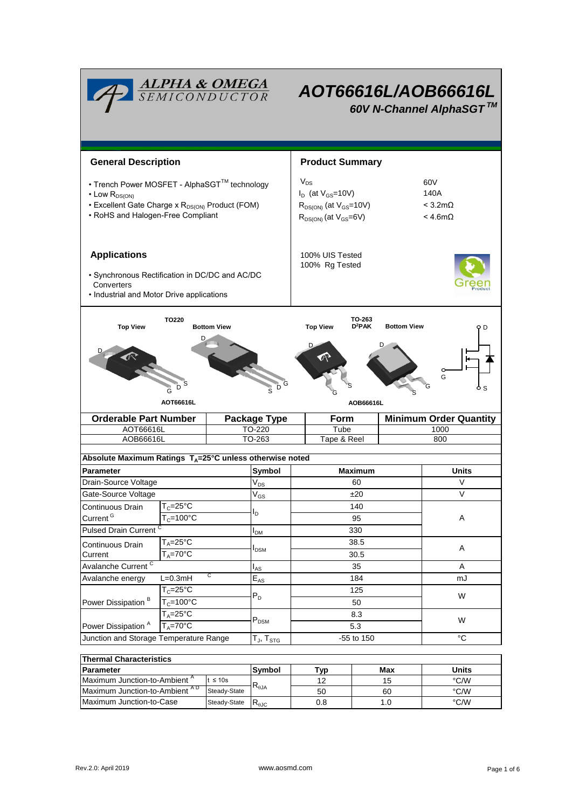|                                                                                                                                                                              | <b>ALPHA &amp; OMEGA</b><br>SEMICONDUCTOR |                                                                                                           | AOT66616L/AOB66616L<br>60V N-Channel AlphaSGT™ |                                       |                                                       |       |               |  |  |
|------------------------------------------------------------------------------------------------------------------------------------------------------------------------------|-------------------------------------------|-----------------------------------------------------------------------------------------------------------|------------------------------------------------|---------------------------------------|-------------------------------------------------------|-------|---------------|--|--|
| <b>General Description</b>                                                                                                                                                   |                                           | <b>Product Summary</b>                                                                                    |                                                |                                       |                                                       |       |               |  |  |
| • Trench Power MOSFET - AlphaSGT™ technology<br>$\cdot$ Low $R_{DS(ON)}$<br>• Excellent Gate Charge x R <sub>DS(ON)</sub> Product (FOM)<br>• RoHS and Halogen-Free Compliant |                                           | $V_{DS}$<br>$I_D$ (at $V_{GS}$ =10V)<br>$R_{DS(ON)}$ (at $V_{GS}$ =10V)<br>$R_{DS(ON)}$ (at $V_{GS}=6V$ ) |                                                |                                       | 60V<br>140A<br>$<$ 3.2m $\Omega$<br>$<$ 4.6m $\Omega$ |       |               |  |  |
| <b>Applications</b><br>• Synchronous Rectification in DC/DC and AC/DC<br>Converters<br>• Industrial and Motor Drive applications                                             |                                           |                                                                                                           |                                                | 100% UIS Tested<br>100% Rg Tested     |                                                       |       |               |  |  |
| <b>Top View</b>                                                                                                                                                              | D                                         | TO-263<br>D <sup>2</sup> PAK<br><b>Bottom View</b><br><b>Top View</b><br>9 D<br>G<br>AOB66616L            |                                                |                                       |                                                       |       |               |  |  |
| <b>Orderable Part Number</b>                                                                                                                                                 |                                           |                                                                                                           | <b>Package Type</b>                            | <b>Minimum Order Quantity</b><br>Form |                                                       |       |               |  |  |
| AOT66616L<br>AOB66616L                                                                                                                                                       |                                           | TO-220<br>TO-263                                                                                          |                                                |                                       | Tube<br>Tape & Reel                                   |       | 1000<br>800   |  |  |
| Absolute Maximum Ratings T <sub>A</sub> =25°C unless otherwise noted                                                                                                         |                                           |                                                                                                           |                                                |                                       |                                                       |       |               |  |  |
| Parameter                                                                                                                                                                    |                                           |                                                                                                           | Symbol                                         | <b>Maximum</b>                        |                                                       | Units |               |  |  |
| Drain-Source Voltage                                                                                                                                                         |                                           |                                                                                                           | $\rm V_{\rm DS}$                               | 60                                    |                                                       |       | V             |  |  |
| Gate-Source Voltage                                                                                                                                                          |                                           |                                                                                                           | $\mathsf{V}_{\mathsf{GS}}$                     | ±20                                   |                                                       |       | V             |  |  |
| Continuous Drain                                                                                                                                                             | ${\mathsf T}_{\rm C}$ =25°C               |                                                                                                           |                                                | 140<br>95                             |                                                       |       |               |  |  |
| Current <sup>G</sup>                                                                                                                                                         | $T_c = 100$ °C                            |                                                                                                           | $I_D$                                          |                                       |                                                       | Α     |               |  |  |
| <b>Pulsed Drain Current</b>                                                                                                                                                  |                                           |                                                                                                           | $I_{DM}$                                       | 330                                   |                                                       |       |               |  |  |
| Continuous Drain                                                                                                                                                             | $T_A = 25$ °C                             |                                                                                                           |                                                | 38.5                                  |                                                       |       |               |  |  |
| $T_A = 70$ °C<br>Current                                                                                                                                                     |                                           |                                                                                                           | I <sub>DSM</sub>                               | 30.5                                  |                                                       | A     |               |  |  |
| Avalanche Current <sup>C</sup>                                                                                                                                               |                                           |                                                                                                           | $I_{AS}$                                       |                                       | 35                                                    |       | Α             |  |  |
| С<br>$L=0.3mH$<br>Avalanche energy                                                                                                                                           |                                           |                                                                                                           | $\mathsf{E}_{\mathsf{AS}}$                     |                                       | 184                                                   |       | mJ            |  |  |
|                                                                                                                                                                              | $T_c = 25$ °C                             |                                                                                                           |                                                | 125                                   |                                                       |       | W             |  |  |
| Power Dissipation <sup>B</sup>                                                                                                                                               | $T_c = 100^{\circ}C$                      |                                                                                                           | $P_D$                                          | 50                                    |                                                       |       |               |  |  |
|                                                                                                                                                                              | $T_A = 25$ °C                             |                                                                                                           |                                                | 8.3                                   |                                                       |       | W             |  |  |
| Power Dissipation <sup>A</sup><br>$T_A = 70$ °C                                                                                                                              |                                           | $P_{DSM}$                                                                                                 | 5.3                                            |                                       |                                                       |       |               |  |  |
| Junction and Storage Temperature Range                                                                                                                                       |                                           |                                                                                                           | T $_{\sf J}$ , T $_{\sf STG}$                  | -55 to 150                            |                                                       |       | $^{\circ}C$   |  |  |
| <b>Thermal Characteristics</b>                                                                                                                                               |                                           |                                                                                                           |                                                |                                       |                                                       |       |               |  |  |
| <b>Parameter</b>                                                                                                                                                             |                                           |                                                                                                           | Symbol                                         | <b>Typ</b>                            |                                                       | Max   | <b>Units</b>  |  |  |
| Maximum Junction-to-Ambient <sup>A</sup><br>$t \leq 10s$                                                                                                                     |                                           |                                                                                                           | 12                                             |                                       | 15                                                    | °C/W  |               |  |  |
| Maximum Junction-to-Ambient AD                                                                                                                                               |                                           | Steady-State                                                                                              | $\mathsf{R}_{\theta\mathsf{JA}}$               | 50                                    |                                                       | 60    | $\degree$ C/W |  |  |
| Maximum Junction-to-Case                                                                                                                                                     |                                           | Steady-State                                                                                              | $R_{\theta \text{JC}}$                         | 0.8                                   |                                                       | 1.0   | °C/W          |  |  |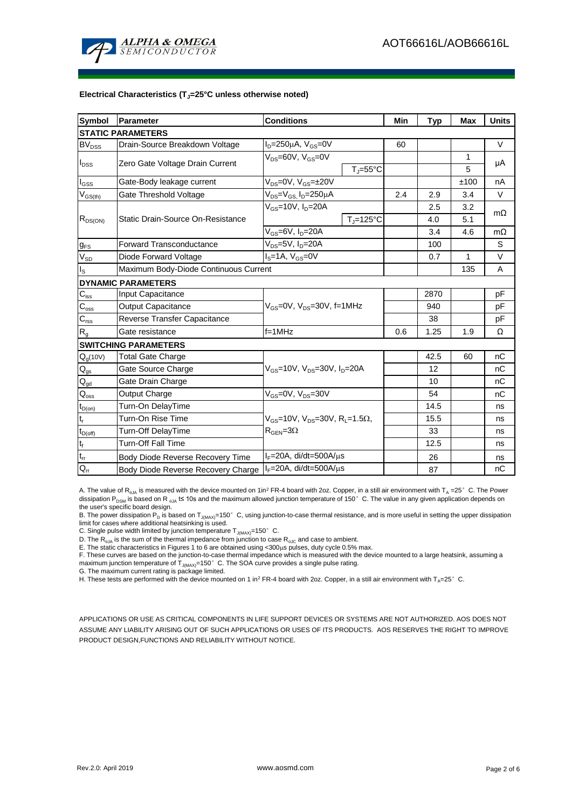

#### **Electrical Characteristics (TJ=25°C unless otherwise noted)**

| <b>Symbol</b>                | <b>Parameter</b>                                                     | <b>Conditions</b>                                            |     | <b>Typ</b> | Max  | <b>Units</b> |  |  |  |  |  |
|------------------------------|----------------------------------------------------------------------|--------------------------------------------------------------|-----|------------|------|--------------|--|--|--|--|--|
| <b>STATIC PARAMETERS</b>     |                                                                      |                                                              |     |            |      |              |  |  |  |  |  |
| $BV_{DSS}$                   | Drain-Source Breakdown Voltage                                       | $I_D = 250 \mu A$ , $V_{GS} = 0V$                            | 60  |            |      | $\vee$       |  |  |  |  |  |
| $I_{DSS}$                    | Zero Gate Voltage Drain Current                                      | $V_{DS}$ =60V, $V_{GS}$ =0V                                  |     |            | 1    | μA           |  |  |  |  |  |
|                              |                                                                      | $T_i = 55^{\circ}C$                                          |     |            | 5    |              |  |  |  |  |  |
| l <sub>GSS</sub>             | $V_{DS} = 0V$ , $V_{GS} = \pm 20V$<br>Gate-Body leakage current      |                                                              |     |            | ±100 | nA           |  |  |  |  |  |
| $\rm V_{GS(th)}$             | Gate Threshold Voltage                                               | $V_{DS} = V_{GS}$ , $I_D = 250 \mu A$                        |     | 2.9        | 3.4  | $\vee$       |  |  |  |  |  |
| $R_{DS(ON)}$                 | Static Drain-Source On-Resistance                                    | $V_{GS}$ =10V, $I_{D}$ =20A                                  |     | 2.5        | 3.2  | $m\Omega$    |  |  |  |  |  |
|                              |                                                                      | $T_J = 125$ °C                                               |     | 4.0        | 5.1  |              |  |  |  |  |  |
|                              |                                                                      | $V_{GS}$ =6V, $I_D$ =20A                                     |     | 3.4        | 4.6  | $m\Omega$    |  |  |  |  |  |
| $g_{FS}$                     | <b>Forward Transconductance</b><br>$V_{DS}$ =5V, I <sub>D</sub> =20A |                                                              |     | 100        |      | S            |  |  |  |  |  |
| $V_{SD}$                     | $IS=1A, VGS=0V$<br>Diode Forward Voltage                             |                                                              |     | 0.7        | 1    | V            |  |  |  |  |  |
| ıs.                          | Maximum Body-Diode Continuous Current                                |                                                              |     | 135        | A    |              |  |  |  |  |  |
|                              | <b>DYNAMIC PARAMETERS</b>                                            |                                                              |     |            |      |              |  |  |  |  |  |
| $C_{\underline{\text{iss}}}$ | Input Capacitance                                                    |                                                              |     | 2870       |      | pF           |  |  |  |  |  |
| $C_{\rm oss}$                | <b>Output Capacitance</b>                                            | $V_{GS}$ =0V, $V_{DS}$ =30V, f=1MHz                          |     | 940        |      | pF           |  |  |  |  |  |
| $C_{rss}$                    | Reverse Transfer Capacitance                                         |                                                              |     | 38         |      | pF           |  |  |  |  |  |
| $R_g$                        | Gate resistance                                                      | $f = 1$ MHz                                                  | 0.6 | 1.25       | 1.9  | Ω            |  |  |  |  |  |
|                              | <b>SWITCHING PARAMETERS</b>                                          |                                                              |     |            |      |              |  |  |  |  |  |
| $Q_q(10V)$                   | <b>Total Gate Charge</b>                                             |                                                              |     | 42.5       | 60   | nC           |  |  |  |  |  |
| $\mathsf{Q}_{\mathsf{gs}}$   | Gate Source Charge                                                   | $V_{GS}$ =10V, $V_{DS}$ =30V, $I_D$ =20A                     |     | 12         |      | nC           |  |  |  |  |  |
| $Q_{gd}$                     | Gate Drain Charge                                                    |                                                              |     | 10         |      | nC           |  |  |  |  |  |
| $Q_{\text{oss}}$             | Output Charge                                                        | $V_{GS}$ =0V, $V_{DS}$ =30V                                  |     | 54         |      | nC           |  |  |  |  |  |
| $t_{D(on)}$                  | Turn-On DelayTime                                                    |                                                              |     | 14.5       |      | ns           |  |  |  |  |  |
| $\mathfrak{t}_{\mathsf{r}}$  | Turn-On Rise Time                                                    | $V_{GS}$ =10V, $V_{DS}$ =30V, R <sub>L</sub> =1.5 $\Omega$ , |     | 15.5       |      | ns           |  |  |  |  |  |
| $t_{D(off)}$                 | <b>Turn-Off DelayTime</b>                                            | $R_{\text{GFN}} = 3\Omega$                                   |     | 33         |      | ns           |  |  |  |  |  |
| $\mathfrak{t}_{\mathsf{f}}$  | Turn-Off Fall Time                                                   |                                                              |     | 12.5       |      | ns           |  |  |  |  |  |
| $\mathfrak{t}_{\text{rr}}$   | Body Diode Reverse Recovery Time                                     | $I_F = 20A$ , di/dt=500A/ $\mu$ s                            |     | 26         |      | ns           |  |  |  |  |  |
| $Q_{rr}$                     | Body Diode Reverse Recovery Charge                                   | $I_F$ =20A, di/dt=500A/ $\mu$ s                              |     | 87         |      | nC           |  |  |  |  |  |

A. The value of R<sub>0JA</sub> is measured with the device mounted on 1in<sup>2</sup> FR-4 board with 2oz. Copper, in a still air environment with T<sub>A</sub> =25°C. The Power dissipation P<sub>DSM</sub> is based on R <sub>0JA</sub> t≤ 10s and the maximum allowed junction temperature of 150°C. The value in any given application depends on the user's specific board design.

B. The power dissipation P<sub>D</sub> is based on T<sub>J(MAX)</sub>=150°C, using junction-to-case thermal resistance, and is more useful in setting the upper dissipation limit for cases where additional heatsinking is used.

C. Single pulse width limited by junction temperature  $T_{J(MAX)}$ =150°C.

D. The  $R_{AJA}$  is the sum of the thermal impedance from junction to case  $R_{AJC}$  and case to ambient.

E. The static characteristics in Figures 1 to 6 are obtained using <300 $\mu$ s pulses, duty cycle 0.5% max.

F. These curves are based on the junction-to-case thermal impedance which is measured with the device mounted to a large heatsink, assuming a maximum junction temperature of  $T_{J(MAX)}$ =150°C. The SOA curve provides a single pulse rating.

G. The maximum current rating is package limited.

H. These tests are performed with the device mounted on 1 in<sup>2</sup> FR-4 board with 2oz. Copper, in a still air environment with T<sub>A</sub>=25°C.

APPLICATIONS OR USE AS CRITICAL COMPONENTS IN LIFE SUPPORT DEVICES OR SYSTEMS ARE NOT AUTHORIZED. AOS DOES NOT ASSUME ANY LIABILITY ARISING OUT OF SUCH APPLICATIONS OR USES OF ITS PRODUCTS. AOS RESERVES THE RIGHT TO IMPROVE PRODUCT DESIGN,FUNCTIONS AND RELIABILITY WITHOUT NOTICE.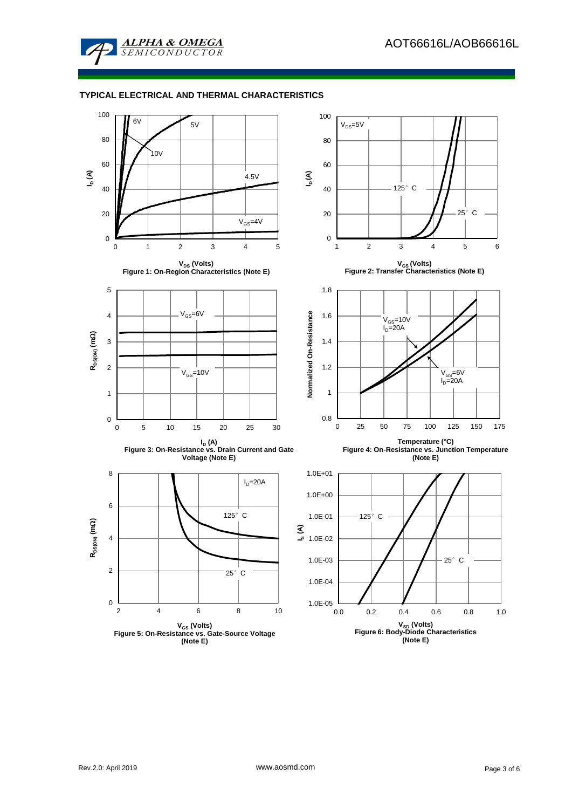

### **TYPICAL ELECTRICAL AND THERMAL CHARACTERISTICS**

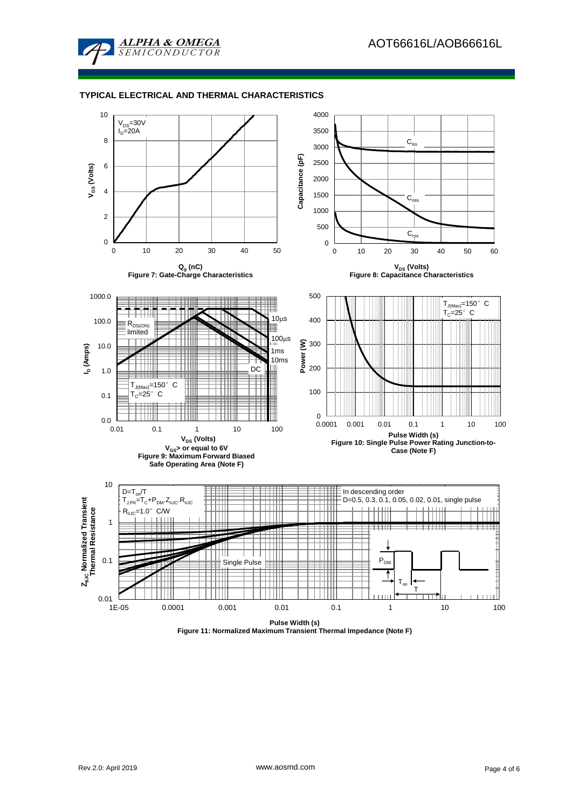

### **TYPICAL ELECTRICAL AND THERMAL CHARACTERISTICS**

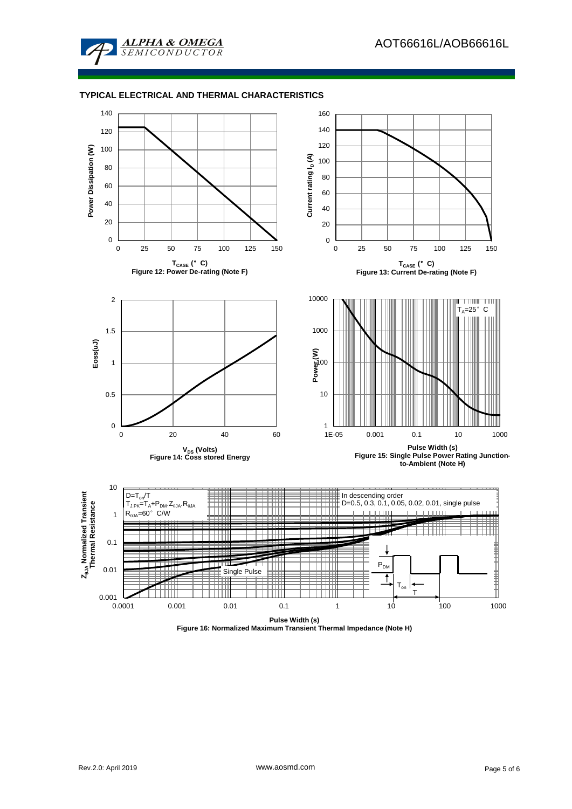

### **TYPICAL ELECTRICAL AND THERMAL CHARACTERISTICS**



**Figure 16: Normalized Maximum Transient Thermal Impedance (Note H)**